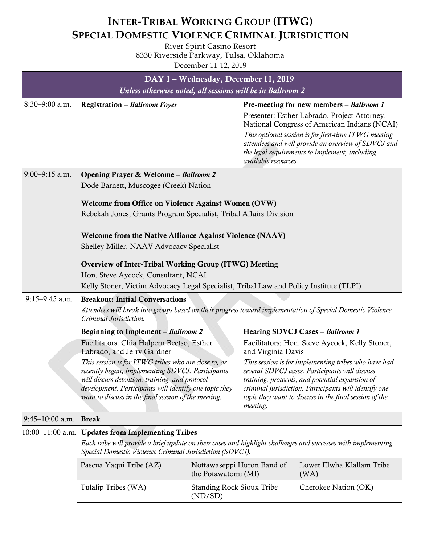## **INTER‐TRIBAL WORKING GROUP (ITWG) SPECIAL DOMESTIC VIOLENCE CRIMINAL JURISDICTION**

River Spirit Casino Resort 8330 Riverside Parkway, Tulsa, Oklahoma December 11‐12, 2019

|                         |                                                                                                                                                                                                                                                                                                                                                                                                                                                                                                                                                                          |                                                     | DAY 1 - Wednesday, December 11, 2019                                                         |                                                                                                                                                               |  |  |
|-------------------------|--------------------------------------------------------------------------------------------------------------------------------------------------------------------------------------------------------------------------------------------------------------------------------------------------------------------------------------------------------------------------------------------------------------------------------------------------------------------------------------------------------------------------------------------------------------------------|-----------------------------------------------------|----------------------------------------------------------------------------------------------|---------------------------------------------------------------------------------------------------------------------------------------------------------------|--|--|
|                         | Unless otherwise noted, all sessions will be in Ballroom 2                                                                                                                                                                                                                                                                                                                                                                                                                                                                                                               |                                                     |                                                                                              |                                                                                                                                                               |  |  |
| $8:30 - 9:00$ a.m.      | Registration - Ballroom Foyer                                                                                                                                                                                                                                                                                                                                                                                                                                                                                                                                            |                                                     |                                                                                              | Pre-meeting for new members - Ballroom 1                                                                                                                      |  |  |
|                         |                                                                                                                                                                                                                                                                                                                                                                                                                                                                                                                                                                          |                                                     | Presenter: Esther Labrado, Project Attorney,<br>National Congress of American Indians (NCAI) |                                                                                                                                                               |  |  |
|                         |                                                                                                                                                                                                                                                                                                                                                                                                                                                                                                                                                                          |                                                     | available resources.                                                                         | This optional session is for first-time ITWG meeting<br>attendees and will provide an overview of SDVCJ and<br>the legal requirements to implement, including |  |  |
| 9:00-9:15 a.m.          | Opening Prayer & Welcome - Ballroom 2                                                                                                                                                                                                                                                                                                                                                                                                                                                                                                                                    |                                                     |                                                                                              |                                                                                                                                                               |  |  |
|                         | Dode Barnett, Muscogee (Creek) Nation                                                                                                                                                                                                                                                                                                                                                                                                                                                                                                                                    |                                                     |                                                                                              |                                                                                                                                                               |  |  |
|                         |                                                                                                                                                                                                                                                                                                                                                                                                                                                                                                                                                                          | Welcome from Office on Violence Against Women (OVW) |                                                                                              |                                                                                                                                                               |  |  |
|                         | Rebekah Jones, Grants Program Specialist, Tribal Affairs Division                                                                                                                                                                                                                                                                                                                                                                                                                                                                                                        |                                                     |                                                                                              |                                                                                                                                                               |  |  |
|                         | Welcome from the Native Alliance Against Violence (NAAV)                                                                                                                                                                                                                                                                                                                                                                                                                                                                                                                 |                                                     |                                                                                              |                                                                                                                                                               |  |  |
|                         | Shelley Miller, NAAV Advocacy Specialist                                                                                                                                                                                                                                                                                                                                                                                                                                                                                                                                 |                                                     |                                                                                              |                                                                                                                                                               |  |  |
|                         | Overview of Inter-Tribal Working Group (ITWG) Meeting                                                                                                                                                                                                                                                                                                                                                                                                                                                                                                                    |                                                     |                                                                                              |                                                                                                                                                               |  |  |
|                         | Hon. Steve Aycock, Consultant, NCAI                                                                                                                                                                                                                                                                                                                                                                                                                                                                                                                                      |                                                     |                                                                                              |                                                                                                                                                               |  |  |
|                         | Kelly Stoner, Victim Advocacy Legal Specialist, Tribal Law and Policy Institute (TLPI)                                                                                                                                                                                                                                                                                                                                                                                                                                                                                   |                                                     |                                                                                              |                                                                                                                                                               |  |  |
| $9:15-9:45$ a.m.        | <b>Breakout: Initial Conversations</b><br>Attendees will break into groups based on their progress toward implementation of Special Domestic Violence<br>Criminal Jurisdiction.                                                                                                                                                                                                                                                                                                                                                                                          |                                                     |                                                                                              |                                                                                                                                                               |  |  |
|                         | <b>Beginning to Implement - Ballroom 2</b>                                                                                                                                                                                                                                                                                                                                                                                                                                                                                                                               |                                                     |                                                                                              | Hearing SDVCJ Cases - Ballroom 1                                                                                                                              |  |  |
|                         | Facilitators: Chia Halpern Beetso, Esther<br>Labrado, and Jerry Gardner                                                                                                                                                                                                                                                                                                                                                                                                                                                                                                  |                                                     | and Virginia Davis                                                                           | Facilitators: Hon. Steve Aycock, Kelly Stoner,                                                                                                                |  |  |
|                         | This session is for ITWG tribes who are close to, or<br>This session is for implementing tribes who have had<br>recently began, implementing SDVCJ. Participants<br>several SDVCJ cases. Participants will discuss<br>will discuss detention, training, and protocol<br>training, protocols, and potential expansion of<br>development. Participants will identify one topic they<br>criminal jurisdiction. Participants will identify one<br>want to discuss in the final session of the meeting.<br>topic they want to discuss in the final session of the<br>meeting. |                                                     |                                                                                              |                                                                                                                                                               |  |  |
| $9:45-10:00$ a.m. Break |                                                                                                                                                                                                                                                                                                                                                                                                                                                                                                                                                                          |                                                     |                                                                                              |                                                                                                                                                               |  |  |
|                         | 10:00-11:00 a.m. Updates from Implementing Tribes                                                                                                                                                                                                                                                                                                                                                                                                                                                                                                                        |                                                     |                                                                                              |                                                                                                                                                               |  |  |
|                         | Each tribe will provide a brief update on their cases and highlight challenges and successes with implementing<br>Special Domestic Violence Criminal Jurisdiction (SDVCJ).                                                                                                                                                                                                                                                                                                                                                                                               |                                                     |                                                                                              |                                                                                                                                                               |  |  |
|                         | Pascua Yaqui Tribe (AZ)                                                                                                                                                                                                                                                                                                                                                                                                                                                                                                                                                  | the Potawatomi (MI)                                 | Nottawaseppi Huron Band of                                                                   | Lower Elwha Klallam Tribe<br>(WA)                                                                                                                             |  |  |

|                     | the Potawatomi (MI)                         | (WA)                 |
|---------------------|---------------------------------------------|----------------------|
| Tulalip Tribes (WA) | <b>Standing Rock Sioux Tribe</b><br>(ND/SD) | Cherokee Nation (OK) |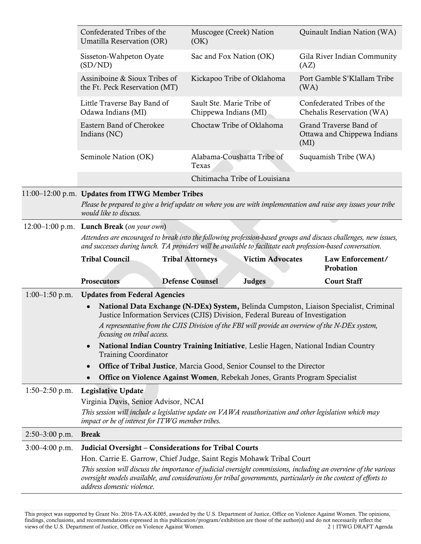|                  | Confederated Tribes of the<br>Umatilla Reservation (OR)                                                                                                                                                                                                                                 | Muscogee (Creek) Nation<br>(OK)                                                                        | Quinault Indian Nation (WA)                                   |  |  |
|------------------|-----------------------------------------------------------------------------------------------------------------------------------------------------------------------------------------------------------------------------------------------------------------------------------------|--------------------------------------------------------------------------------------------------------|---------------------------------------------------------------|--|--|
|                  | Sisseton-Wahpeton Oyate<br>(SD/ND)                                                                                                                                                                                                                                                      | Sac and Fox Nation (OK)                                                                                | Gila River Indian Community<br>(AZ)                           |  |  |
|                  | Assiniboine & Sioux Tribes of<br>the Ft. Peck Reservation (MT)                                                                                                                                                                                                                          | Kickapoo Tribe of Oklahoma                                                                             | Port Gamble S'Klallam Tribe<br>(WA)                           |  |  |
|                  | Little Traverse Bay Band of<br>Odawa Indians (MI)                                                                                                                                                                                                                                       | Sault Ste. Marie Tribe of<br>Chippewa Indians (MI)                                                     | Confederated Tribes of the<br>Chehalis Reservation (WA)       |  |  |
|                  | Eastern Band of Cherokee<br>Indians (NC)                                                                                                                                                                                                                                                | Choctaw Tribe of Oklahoma                                                                              | Grand Traverse Band of<br>Ottawa and Chippewa Indians<br>(MI) |  |  |
|                  | Seminole Nation (OK)                                                                                                                                                                                                                                                                    | Alabama-Coushatta Tribe of<br>Texas                                                                    | Suquamish Tribe (WA)                                          |  |  |
|                  |                                                                                                                                                                                                                                                                                         | Chitimacha Tribe of Louisiana                                                                          |                                                               |  |  |
|                  | 11:00-12:00 p.m. Updates from ITWG Member Tribes<br>Please be prepared to give a brief update on where you are with implementation and raise any issues your tribe<br>would like to discuss.                                                                                            |                                                                                                        |                                                               |  |  |
|                  | 12:00-1:00 p.m. Lunch Break (on your own)                                                                                                                                                                                                                                               |                                                                                                        |                                                               |  |  |
|                  | Attendees are encouraged to break into the following profession-based groups and discuss challenges, new issues,<br>and successes during lunch. TA providers will be available to facilitate each profession-based conversation.                                                        |                                                                                                        |                                                               |  |  |
|                  | <b>Tribal Council</b>                                                                                                                                                                                                                                                                   | <b>Victim Advocates</b><br><b>Tribal Attorneys</b>                                                     | Law Enforcement/<br>Probation                                 |  |  |
|                  | <b>Prosecutors</b>                                                                                                                                                                                                                                                                      | <b>Judges</b><br><b>Defense Counsel</b>                                                                | <b>Court Staff</b>                                            |  |  |
| $1:00-1:50$ p.m. | <b>Updates from Federal Agencies</b>                                                                                                                                                                                                                                                    |                                                                                                        |                                                               |  |  |
|                  | National Data Exchange (N-DEx) System, Belinda Cumpston, Liaison Specialist, Criminal<br>$\bullet$<br>Justice Information Services (CJIS) Division, Federal Bureau of Investigation<br>A representative from the CJIS Division of the FBI will provide an overview of the N-DEx system, |                                                                                                        |                                                               |  |  |
|                  | focusing on tribal access.                                                                                                                                                                                                                                                              |                                                                                                        |                                                               |  |  |
|                  | National Indian Country Training Initiative, Leslie Hagen, National Indian Country<br><b>Training Coordinator</b>                                                                                                                                                                       |                                                                                                        |                                                               |  |  |
|                  | Office of Tribal Justice, Marcia Good, Senior Counsel to the Director<br>$\bullet$                                                                                                                                                                                                      |                                                                                                        |                                                               |  |  |
|                  | $\bullet$                                                                                                                                                                                                                                                                               | <b>Office on Violence Against Women, Rebekah Jones, Grants Program Specialist</b>                      |                                                               |  |  |
| $1:50-2:50$ p.m. | <b>Legislative Update</b><br>Virginia Davis, Senior Advisor, NCAI                                                                                                                                                                                                                       |                                                                                                        |                                                               |  |  |
|                  |                                                                                                                                                                                                                                                                                         | This session will include a legislative update on VAWA reauthorization and other legislation which may |                                                               |  |  |
|                  | impact or be of interest for ITWG member tribes.                                                                                                                                                                                                                                        |                                                                                                        |                                                               |  |  |
| $2:50-3:00$ p.m. | <b>Break</b>                                                                                                                                                                                                                                                                            |                                                                                                        |                                                               |  |  |
| $3:00-4:00$ p.m. | Judicial Oversight - Considerations for Tribal Courts                                                                                                                                                                                                                                   |                                                                                                        |                                                               |  |  |
|                  | Hon. Carrie E. Garrow, Chief Judge, Saint Regis Mohawk Tribal Court<br>This session will discuss the importance of judicial oversight commissions, including an overview of the various                                                                                                 |                                                                                                        |                                                               |  |  |
|                  | oversight models available, and considerations for tribal governments, particularly in the context of efforts to<br>address domestic violence.                                                                                                                                          |                                                                                                        |                                                               |  |  |

This project was supported by Grant No. 2016-TA-AX-K005, awarded by the U.S. Department of Justice, Office on Violence Against Women. The opinions, findings, conclusions, and recommendations expressed in this publication/program/exhibition are those of the author(s) and do not necessarily reflect the views of the U.S. Department of Justice, Office on Violence Against Women. 2 | ITWG DRAFT Agenda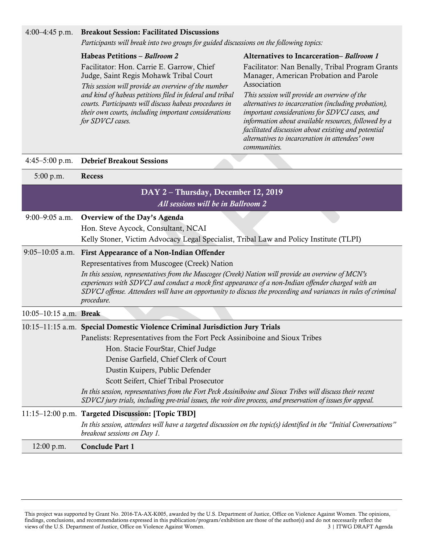| $4:00-4:45$ p.m.       | <b>Breakout Session: Facilitated Discussions</b>                                                                                                                                                                                                                                                                                                                                                                                                        |                                                                                                                                                                                                                                                                   |  |  |
|------------------------|---------------------------------------------------------------------------------------------------------------------------------------------------------------------------------------------------------------------------------------------------------------------------------------------------------------------------------------------------------------------------------------------------------------------------------------------------------|-------------------------------------------------------------------------------------------------------------------------------------------------------------------------------------------------------------------------------------------------------------------|--|--|
|                        | Participants will break into two groups for guided discussions on the following topics:                                                                                                                                                                                                                                                                                                                                                                 |                                                                                                                                                                                                                                                                   |  |  |
|                        | Habeas Petitions - Ballroom 2                                                                                                                                                                                                                                                                                                                                                                                                                           | Alternatives to Incarceration-Ballroom 1                                                                                                                                                                                                                          |  |  |
|                        | Facilitator: Hon. Carrie E. Garrow, Chief<br>Judge, Saint Regis Mohawk Tribal Court<br>This session will provide an overview of the number<br>and kind of habeas petitions filed in federal and tribal<br>courts. Participants will discuss habeas procedures in<br>their own courts, including important considerations                                                                                                                                | Facilitator: Nan Benally, Tribal Program Grants<br>Manager, American Probation and Parole<br>Association<br>This session will provide an overview of the<br>alternatives to incarceration (including probation),<br>important considerations for SDVCJ cases, and |  |  |
|                        | for SDVCJ cases.                                                                                                                                                                                                                                                                                                                                                                                                                                        | information about available resources, followed by a<br>facilitated discussion about existing and potential<br>alternatives to incarceration in attendees' own<br>communities.                                                                                    |  |  |
| $4:45-5:00$ p.m.       | <b>Debrief Breakout Sessions</b>                                                                                                                                                                                                                                                                                                                                                                                                                        |                                                                                                                                                                                                                                                                   |  |  |
| 5:00 p.m.              | Recess                                                                                                                                                                                                                                                                                                                                                                                                                                                  |                                                                                                                                                                                                                                                                   |  |  |
|                        | DAY 2 - Thursday, December 12, 2019<br>All sessions will be in Ballroom 2                                                                                                                                                                                                                                                                                                                                                                               |                                                                                                                                                                                                                                                                   |  |  |
| $9:00 - 9:05$ a.m.     | Overview of the Day's Agenda<br>Hon. Steve Aycock, Consultant, NCAI<br>Kelly Stoner, Victim Advocacy Legal Specialist, Tribal Law and Policy Institute (TLPI)                                                                                                                                                                                                                                                                                           |                                                                                                                                                                                                                                                                   |  |  |
|                        | 9:05-10:05 a.m. First Appearance of a Non-Indian Offender<br>Representatives from Muscogee (Creek) Nation<br>In this session, representatives from the Muscogee (Creek) Nation will provide an overview of MCN's<br>experiences with SDVCJ and conduct a mock first appearance of a non-Indian offender charged with an<br>SDVCJ offense. Attendees will have an opportunity to discuss the proceeding and variances in rules of criminal<br>procedure. |                                                                                                                                                                                                                                                                   |  |  |
| 10:05-10:15 a.m. Break |                                                                                                                                                                                                                                                                                                                                                                                                                                                         |                                                                                                                                                                                                                                                                   |  |  |
|                        | 10:15-11:15 a.m. Special Domestic Violence Criminal Jurisdiction Jury Trials                                                                                                                                                                                                                                                                                                                                                                            |                                                                                                                                                                                                                                                                   |  |  |
|                        | Panelists: Representatives from the Fort Peck Assiniboine and Sioux Tribes                                                                                                                                                                                                                                                                                                                                                                              |                                                                                                                                                                                                                                                                   |  |  |
|                        | Hon. Stacie FourStar, Chief Judge                                                                                                                                                                                                                                                                                                                                                                                                                       |                                                                                                                                                                                                                                                                   |  |  |
|                        | Denise Garfield, Chief Clerk of Court                                                                                                                                                                                                                                                                                                                                                                                                                   |                                                                                                                                                                                                                                                                   |  |  |
|                        | Dustin Kuipers, Public Defender                                                                                                                                                                                                                                                                                                                                                                                                                         |                                                                                                                                                                                                                                                                   |  |  |
|                        | Scott Seifert, Chief Tribal Prosecutor                                                                                                                                                                                                                                                                                                                                                                                                                  |                                                                                                                                                                                                                                                                   |  |  |
|                        | In this session, representatives from the Fort Peck Assiniboine and Sioux Tribes will discuss their recent<br>SDVCJ jury trials, including pre-trial issues, the voir dire process, and preservation of issues for appeal.                                                                                                                                                                                                                              |                                                                                                                                                                                                                                                                   |  |  |
|                        | 11:15-12:00 p.m. Targeted Discussion: [Topic TBD]                                                                                                                                                                                                                                                                                                                                                                                                       |                                                                                                                                                                                                                                                                   |  |  |
|                        | In this session, attendees will have a targeted discussion on the topic(s) identified in the "Initial Conversations"<br>breakout sessions on Day 1.                                                                                                                                                                                                                                                                                                     |                                                                                                                                                                                                                                                                   |  |  |

12:00 p.m. Conclude Part 1

This project was supported by Grant No. 2016-TA-AX-K005, awarded by the U.S. Department of Justice, Office on Violence Against Women. The opinions, findings, conclusions, and recommendations expressed in this publication/program/exhibition are those of the author(s) and do not necessarily reflect the views of the U.S. Department of Justice, Office on Violence Against Women. 3 | ITWG DRAFT Agenda